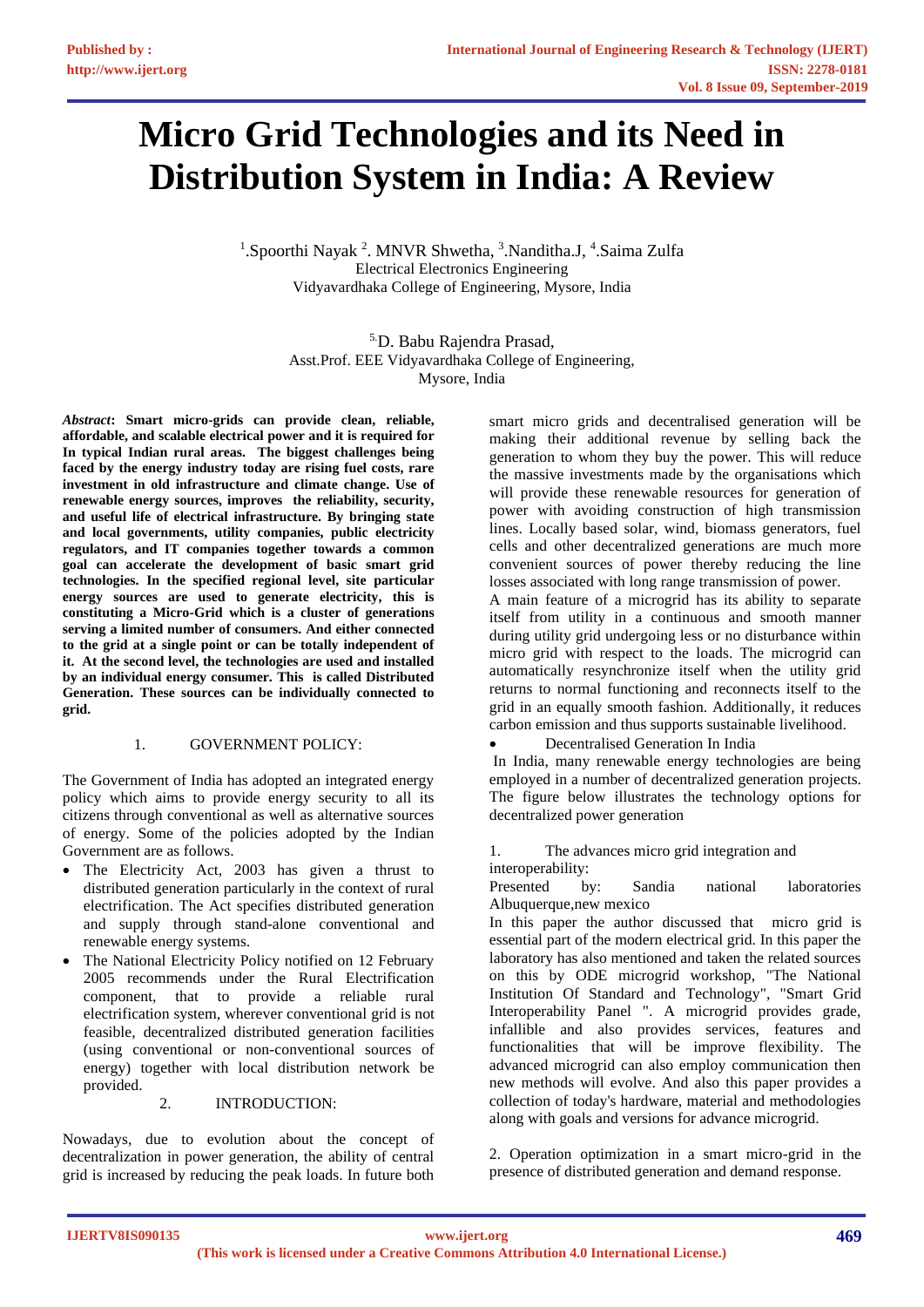# **Micro Grid Technologies and its Need in Distribution System in India: A Review**

<sup>1</sup>. Spoorthi Nayak<sup>2</sup>. MNVR Shwetha, <sup>3</sup>. Nanditha. J, <sup>4</sup>. Saima Zulfa Electrical Electronics Engineering Vidyavardhaka College of Engineering, Mysore, India

> 5.D. Babu Rajendra Prasad, Asst.Prof. EEE Vidyavardhaka College of Engineering, Mysore, India

*Abstract***: Smart micro-grids can provide clean, reliable, affordable, and scalable electrical power and it is required for In typical Indian rural areas. The biggest challenges being faced by the energy industry today are rising fuel costs, rare investment in old infrastructure and climate change. Use of renewable energy sources, improves the reliability, security, and useful life of electrical infrastructure. By bringing state and local governments, utility companies, public electricity regulators, and IT companies together towards a common goal can accelerate the development of basic smart grid technologies. In the specified regional level, site particular energy sources are used to generate electricity, this is constituting a Micro-Grid which is a cluster of generations serving a limited number of consumers. And either connected to the grid at a single point or can be totally independent of it. At the second level, the technologies are used and installed by an individual energy consumer. This is called Distributed Generation. These sources can be individually connected to grid.**

#### 1. GOVERNMENT POLICY:

The Government of India has adopted an integrated energy policy which aims to provide energy security to all its citizens through conventional as well as alternative sources of energy. Some of the policies adopted by the Indian Government are as follows.

- The Electricity Act, 2003 has given a thrust to distributed generation particularly in the context of rural electrification. The Act specifies distributed generation and supply through stand-alone conventional and renewable energy systems.
- The National Electricity Policy notified on 12 February 2005 recommends under the Rural Electrification component, that to provide a reliable rural electrification system, wherever conventional grid is not feasible, decentralized distributed generation facilities (using conventional or non-conventional sources of energy) together with local distribution network be provided.

## 2. INTRODUCTION:

Nowadays, due to evolution about the concept of decentralization in power generation, the ability of central grid is increased by reducing the peak loads. In future both

smart micro grids and decentralised generation will be making their additional revenue by selling back the generation to whom they buy the power. This will reduce the massive investments made by the organisations which will provide these renewable resources for generation of power with avoiding construction of high transmission lines. Locally based solar, wind, biomass generators, fuel cells and other decentralized generations are much more convenient sources of power thereby reducing the line losses associated with long range transmission of power.

A main feature of a microgrid has its ability to separate itself from utility in a continuous and smooth manner during utility grid undergoing less or no disturbance within micro grid with respect to the loads. The microgrid can automatically resynchronize itself when the utility grid returns to normal functioning and reconnects itself to the grid in an equally smooth fashion. Additionally, it reduces carbon emission and thus supports sustainable livelihood.

• Decentralised Generation In India

In India, many renewable energy technologies are being employed in a number of decentralized generation projects. The figure below illustrates the technology options for decentralized power generation

1. The advances micro grid integration and interoperability:

Presented by: Sandia national laboratories Albuquerque,new mexico

In this paper the author discussed that micro grid is essential part of the modern electrical grid. In this paper the laboratory has also mentioned and taken the related sources on this by ODE microgrid workshop, "The National Institution Of Standard and Technology", "Smart Grid Interoperability Panel ". A microgrid provides grade, infallible and also provides services, features and functionalities that will be improve flexibility. The advanced microgrid can also employ communication then new methods will evolve. And also this paper provides a collection of today's hardware, material and methodologies along with goals and versions for advance microgrid.

2. Operation optimization in a smart micro-grid in the presence of distributed generation and demand response.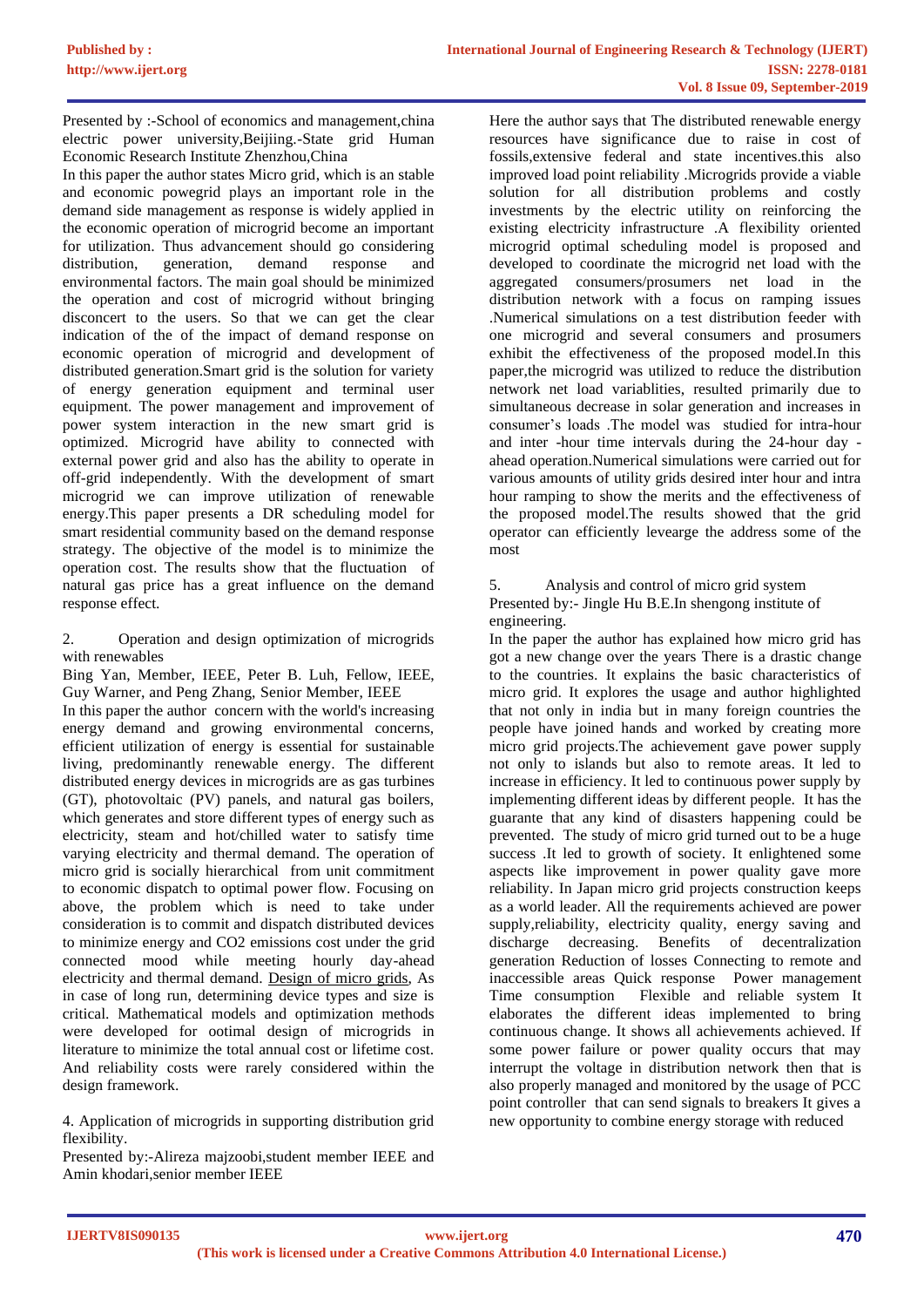Presented by :-School of economics and management,china electric power university,Beijiing.-State grid Human Economic Research Institute Zhenzhou,China

In this paper the author states Micro grid, which is an stable and economic powegrid plays an important role in the demand side management as response is widely applied in the economic operation of microgrid become an important for utilization. Thus advancement should go considering distribution, generation, demand response and environmental factors. The main goal should be minimized the operation and cost of microgrid without bringing disconcert to the users. So that we can get the clear indication of the of the impact of demand response on economic operation of microgrid and development of distributed generation.Smart grid is the solution for variety of energy generation equipment and terminal user equipment. The power management and improvement of power system interaction in the new smart grid is optimized. Microgrid have ability to connected with external power grid and also has the ability to operate in off-grid independently. With the development of smart microgrid we can improve utilization of renewable energy.This paper presents a DR scheduling model for smart residential community based on the demand response strategy. The objective of the model is to minimize the operation cost. The results show that the fluctuation of natural gas price has a great influence on the demand response effect.

2. Operation and design optimization of microgrids with renewables

Bing Yan, Member, IEEE, Peter B. Luh, Fellow, IEEE, Guy Warner, and Peng Zhang, Senior Member, IEEE In this paper the author concern with the world's increasing energy demand and growing environmental concerns, efficient utilization of energy is essential for sustainable living, predominantly renewable energy. The different distributed energy devices in microgrids are as gas turbines (GT), photovoltaic (PV) panels, and natural gas boilers, which generates and store different types of energy such as electricity, steam and hot/chilled water to satisfy time varying electricity and thermal demand. The operation of micro grid is socially hierarchical from unit commitment to economic dispatch to optimal power flow. Focusing on above, the problem which is need to take under consideration is to commit and dispatch distributed devices to minimize energy and CO2 emissions cost under the grid connected mood while meeting hourly day-ahead electricity and thermal demand. Design of micro grids, As in case of long run, determining device types and size is critical. Mathematical models and optimization methods were developed for ootimal design of microgrids in literature to minimize the total annual cost or lifetime cost. And reliability costs were rarely considered within the design framework.

4. Application of microgrids in supporting distribution grid flexibility.

Presented by:-Alireza majzoobi,student member IEEE and Amin khodari,senior member IEEE

Here the author says that The distributed renewable energy resources have significance due to raise in cost of fossils,extensive federal and state incentives.this also improved load point reliability .Microgrids provide a viable solution for all distribution problems and costly investments by the electric utility on reinforcing the existing electricity infrastructure .A flexibility oriented microgrid optimal scheduling model is proposed and developed to coordinate the microgrid net load with the aggregated consumers/prosumers net load in the distribution network with a focus on ramping issues .Numerical simulations on a test distribution feeder with one microgrid and several consumers and prosumers exhibit the effectiveness of the proposed model.In this paper,the microgrid was utilized to reduce the distribution network net load variablities, resulted primarily due to simultaneous decrease in solar generation and increases in consumer's loads .The model was studied for intra-hour and inter -hour time intervals during the 24-hour day ahead operation.Numerical simulations were carried out for various amounts of utility grids desired inter hour and intra hour ramping to show the merits and the effectiveness of the proposed model.The results showed that the grid operator can efficiently levearge the address some of the most

5. Analysis and control of micro grid system Presented by:- Jingle Hu B.E.In shengong institute of engineering.

In the paper the author has explained how micro grid has got a new change over the years There is a drastic change to the countries. It explains the basic characteristics of micro grid. It explores the usage and author highlighted that not only in india but in many foreign countries the people have joined hands and worked by creating more micro grid projects.The achievement gave power supply not only to islands but also to remote areas. It led to increase in efficiency. It led to continuous power supply by implementing different ideas by different people. It has the guarante that any kind of disasters happening could be prevented. The study of micro grid turned out to be a huge success .It led to growth of society. It enlightened some aspects like improvement in power quality gave more reliability. In Japan micro grid projects construction keeps as a world leader. All the requirements achieved are power supply,reliability, electricity quality, energy saving and discharge decreasing. Benefits of decentralization generation Reduction of losses Connecting to remote and inaccessible areas Quick response Power management Time consumption Flexible and reliable system It elaborates the different ideas implemented to bring continuous change. It shows all achievements achieved. If some power failure or power quality occurs that may interrupt the voltage in distribution network then that is also properly managed and monitored by the usage of PCC point controller that can send signals to breakers It gives a new opportunity to combine energy storage with reduced